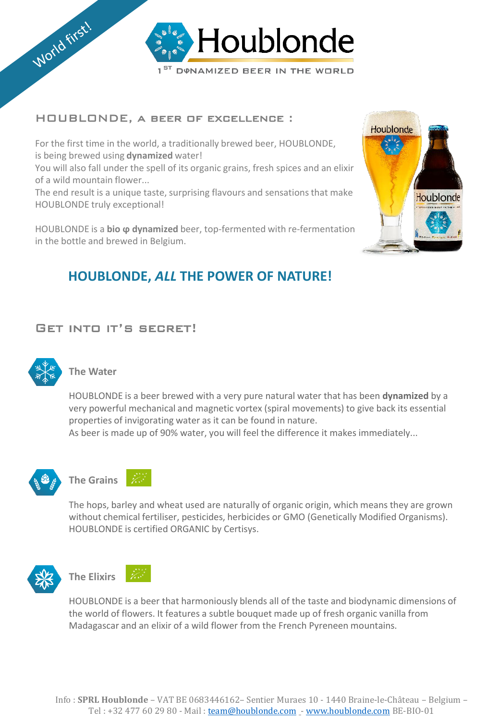

### HOUBLONDE, a beer of excellence :

For the first time in the world, a traditionally brewed beer, HOUBLONDE, is being brewed using **dynamized** water!

You will also fall under the spell of its organic grains, fresh spices and an elixir of a wild mountain flower...

The end result is a unique taste, surprising flavours and sensations that make HOUBLONDE truly exceptional!

HOUBLONDE is a **bio ϕ dynamized** beer, top-fermented with re-fermentation in the bottle and brewed in Belgium.

# **HOUBLONDE,** *ALL* **THE POWER OF NATURE!**

## Get into it's secret!



#### **The Water**

HOUBLONDE is a beer brewed with a very pure natural water that has been **dynamized** by a very powerful mechanical and magnetic vortex (spiral movements) to give back its essential properties of invigorating water as it can be found in nature.

As beer is made up of 90% water, you will feel the difference it makes immediately...





The hops, barley and wheat used are naturally of organic origin, which means they are grown without chemical fertiliser, pesticides, herbicides or GMO (Genetically Modified Organisms). HOUBLONDE is certified ORGANIC by Certisys.





HOUBLONDE is a beer that harmoniously blends all of the taste and biodynamic dimensions of the world of flowers. It features a subtle bouquet made up of fresh organic vanilla from Madagascar and an elixir of a wild flower from the French Pyreneen mountains.

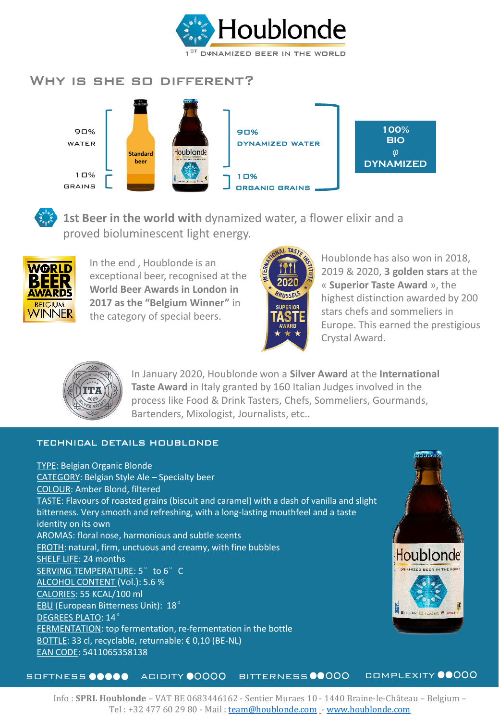

## WHY IS SHE SO DIFFERENT?





**1st Beer in the world with** dynamized water, a flower elixir and a proved bioluminescent light energy.



In the end , Houblonde is an exceptional beer, recognised at the **World Beer Awards in London in 2017 as the "Belgium Winner"** in the category of special beers.



Houblonde has also won in 2018, 2019 & 2020, **3 golden stars** at the « **Superior Taste Award** », the highest distinction awarded by 200 stars chefs and sommeliers in Europe. This earned the prestigious Crystal Award.



In January 2020, Houblonde won a **Silver Award** at the **International Taste Award** in Italy granted by 160 Italian Judges involved in the process like Food & Drink Tasters, Chefs, Sommeliers, Gourmands, Bartenders, Mixologist, Journalists, etc..

#### TECHNICAL DETAILS HOUBLONDE

TYPE: Belgian Organic Blonde CATEGORY: Belgian Style Ale – Specialty beer COLOUR: Amber Blond, filtered TASTE: Flavours of roasted grains (biscuit and caramel) with a dash of vanilla and slight bitterness. Very smooth and refreshing, with a long-lasting mouthfeel and a taste identity on its own AROMAS: floral nose, harmonious and subtle scents FROTH: natural, firm, unctuous and creamy, with fine bubbles SHELF LIFE: 24 months SERVING TEMPERATURE: 5° to 6° C ALCOHOL CONTENT (Vol.): 5.6 % CALORIES: 55 KCAL/100 ml EBU (European Bitterness Unit): 18° DEGREES PLATO: 14° FERMENTATION: top fermentation, re-fermentation in the bottle BOTTLE: 33 cl, recyclable, returnable: € 0,10 (BE-NL) EAN CODE: 5411065358138



SOFTNESS  $\bullet\bullet\bullet\bullet$  ACIDITY  $\bullet$ 0000 BITTERNESS  $\bullet$ 0000 COMPLEXITY  $\bullet\bullet$ 000

Info : **SPRL Houblonde** – VAT BE 0683446162 - Sentier Muraes 10 - 1440 Braine-le-Château – Belgium – Tel : +32 477 60 29 80 - Mail : [team@houblonde.com](mailto:team@houblonde.com) - [www.houblonde.com](http://www.houblonde.com/)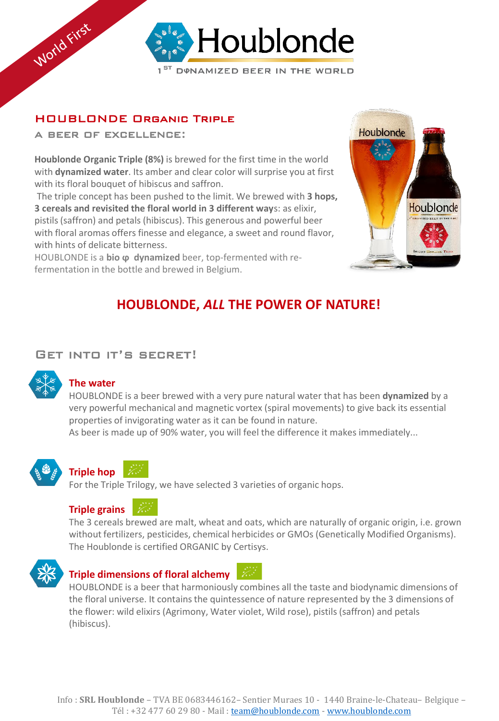

## HOUBLONDE Organic Triple

a beer of excellence:

World First

**Houblonde Organic Triple (8%)** is brewed for the first time in the world with **dynamized water**. Its amber and clear color will surprise you at first with its floral bouquet of hibiscus and saffron.

The triple concept has been pushed to the limit. We brewed with **3 hops, 3 cereals and revisited the floral world in 3 different way**s: as elixir, pistils (saffron) and petals (hibiscus). This generous and powerful beer with floral aromas offers finesse and elegance, a sweet and round flavor, with hints of delicate bitterness.

HOUBLONDE is a **bio ϕ dynamized** beer, top-fermented with refermentation in the bottle and brewed in Belgium.



# **HOUBLONDE,** *ALL* **THE POWER OF NATURE!**

### Get into it's secret!



### **The water**

HOUBLONDE is a beer brewed with a very pure natural water that has been **dynamized** by a very powerful mechanical and magnetic vortex (spiral movements) to give back its essential properties of invigorating water as it can be found in nature.

As beer is made up of 90% water, you will feel the difference it makes immediately...



# **Triple hop**

For the Triple Trilogy, we have selected 3 varieties of organic hops.



The 3 cereals brewed are malt, wheat and oats, which are naturally of organic origin, i.e. grown without fertilizers, pesticides, chemical herbicides or GMOs (Genetically Modified Organisms). The Houblonde is certified ORGANIC by Certisys.



### **Triple dimensions of floral alchemy**

HOUBLONDE is a beer that harmoniously combines all the taste and biodynamic dimensions of the floral universe. It contains the quintessence of nature represented by the 3 dimensions of the flower: wild elixirs (Agrimony, Water violet, Wild rose), pistils (saffron) and petals (hibiscus).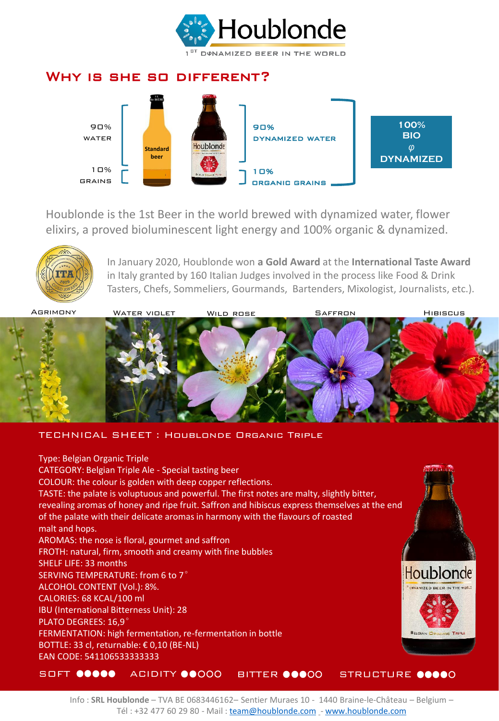

### Why is she so different?



Houblonde is the 1st Beer in the world brewed with dynamized water, flower elixirs, a proved bioluminescent light energy and 100% organic & dynamized.



In January 2020, Houblonde won **a Gold Award** at the **International Taste Award**  in Italy granted by 160 Italian Judges involved in the process like Food & Drink Tasters, Chefs, Sommeliers, Gourmands, Bartenders, Mixologist, Journalists, etc.).



TECHNICAL SHEET : Houblonde Organic Triple

Type: Belgian Organic Triple CATEGORY: Belgian Triple Ale - Special tasting beer COLOUR: the colour is golden with deep copper reflections. TASTE: the palate is voluptuous and powerful. The first notes are malty, slightly bitter, revealing aromas of honey and ripe fruit. Saffron and hibiscus express themselves at the end of the palate with their delicate aromas in harmony with the flavours of roasted malt and hops. AROMAS: the nose is floral, gourmet and saffron FROTH: natural, firm, smooth and creamy with fine bubbles SHELF LIFE: 33 months Houblonde SERVING TEMPERATURE: from 6 to 7° ALCOHOL CONTENT (Vol.): 8%. CALORIES: 68 KCAL/100 ml IBU (International Bitterness Unit): 28 PLATO DEGREES: 16,9° FERMENTATION: high fermentation, re-fermentation in bottle BOTTLE: 33 cl, returnable: € 0,10 (BE-NL) EAN CODE: 541106533333333 SOFT OOOOO ACIDITY OOOOO BITTER OOOOO STRUCTURE OOOOO

Info : **SRL Houblonde** – TVA BE 0683446162– Sentier Muraes 10 - 1440 Braine-le-Château – Belgium – Tél: +32 477 60 29 80 - Mail: [team@houblonde.com](mailto:info@Houblonde.com) - [www.houblonde.com](http://www.houblonde.com/)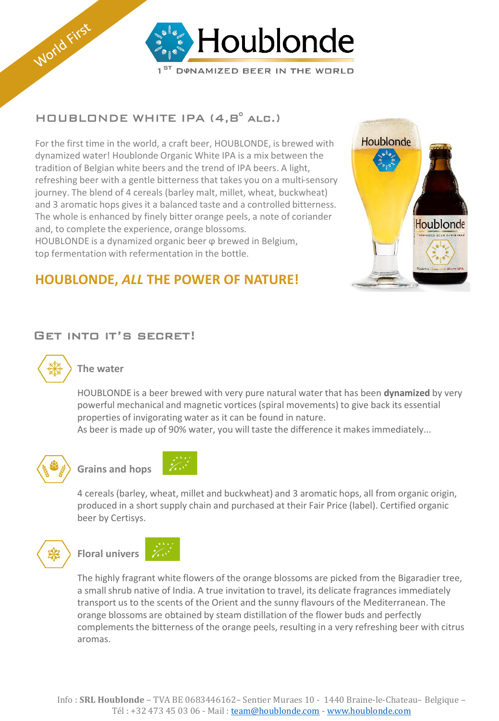

## HOUBLONDE WHITE IPA (4,8° alc.)

For the first time in the world, a craft beer, HOUBLONDE, is brewed with dynamized water! Houblonde Organic White IPA is a mix between the tradition of Belgian white beers and the trend of IPA beers. A light, refreshing beer with a gentle bitterness that takes you on a multi-sensory journey. The blend of 4 cereals (barley malt, millet, wheat, buckwheat) and 3 aromatic hops gives it a balanced taste and a controlled bitterness. The whole is enhanced by finely bitter orange peels, a note of coriander and, to complete the experience, orange blossoms. HOUBLONDE is a dynamized organic beer ϕ brewed in Belgium,

top fermentation with refermentation in the bottle.



## **HOUBLONDE,** *ALL* **THE POWER OF NATURE!**

## Get into it's secret!



World First

### **The water**

HOUBLONDE is a beer brewed with very pure natural water that has been **dynamized** by very powerful mechanical and magnetic vortices (spiral movements) to give back its essential properties of invigorating water as it can be found in nature.

As beer is made up of 90% water, you will taste the difference it makes immediately...





4 cereals (barley, wheat, millet and buckwheat) and 3 aromatic hops, all from organic origin, produced in a short supply chain and purchased at their Fair Price (label). Certified organic beer by Certisys.





The highly fragrant white flowers of the orange blossoms are picked from the Bigaradier tree, a small shrub native of India. A true invitation to travel, its delicate fragrances immediately transport us to the scents of the Orient and the sunny flavours of the Mediterranean. The orange blossoms are obtained by steam distillation of the flower buds and perfectly complements the bitterness of the orange peels, resulting in a very refreshing beer with citrus aromas.